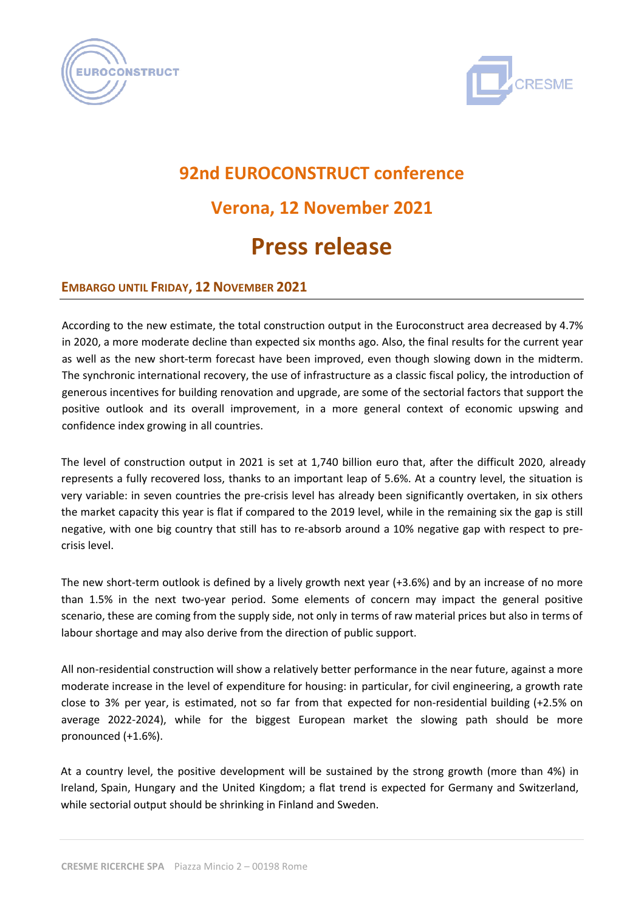



## **92nd EUROCONSTRUCT conference Verona, 12 November 2021 Press release**

## **EMBARGO UNTIL FRIDAY, 12 NOVEMBER 2021**

According to the new estimate, the total construction output in the Euroconstruct area decreased by 4.7% in 2020, a more moderate decline than expected six months ago. Also, the final results for the current year as well as the new short-term forecast have been improved, even though slowing down in the midterm. The synchronic international recovery, the use of infrastructure as a classic fiscal policy, the introduction of generous incentives for building renovation and upgrade, are some of the sectorial factors that support the positive outlook and its overall improvement, in a more general context of economic upswing and confidence index growing in all countries.

The level of construction output in 2021 is set at 1,740 billion euro that, after the difficult 2020, already represents a fully recovered loss, thanks to an important leap of 5.6%. At a country level, the situation is very variable: in seven countries the pre-crisis level has already been significantly overtaken, in six others the market capacity this year is flat if compared to the 2019 level, while in the remaining six the gap is still negative, with one big country that still has to re-absorb around a 10% negative gap with respect to precrisis level.

The new short-term outlook is defined by a lively growth next year (+3.6%) and by an increase of no more than 1.5% in the next two-year period. Some elements of concern may impact the general positive scenario, these are coming from the supply side, not only in terms of raw material prices but also in terms of labour shortage and may also derive from the direction of public support.

All non-residential construction will show a relatively better performance in the near future, against a more moderate increase in the level of expenditure for housing: in particular, for civil engineering, a growth rate close to 3% per year, is estimated, not so far from that expected for non-residential building (+2.5% on average 2022-2024), while for the biggest European market the slowing path should be more pronounced (+1.6%).

At a country level, the positive development will be sustained by the strong growth (more than 4%) in Ireland, Spain, Hungary and the United Kingdom; a flat trend is expected for Germany and Switzerland, while sectorial output should be shrinking in Finland and Sweden.